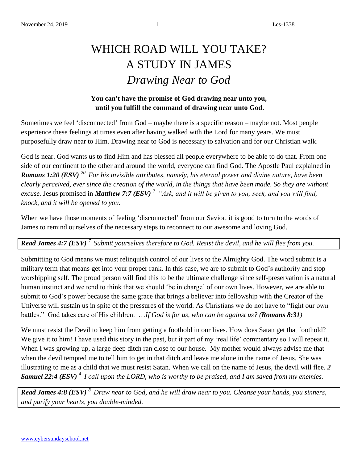## WHICH ROAD WILL YOU TAKE? A STUDY IN JAMES *Drawing Near to God*

## **You can't have the promise of God drawing near unto you, until you fulfill the command of drawing near unto God.**

Sometimes we feel 'disconnected' from God – maybe there is a specific reason – maybe not. Most people experience these feelings at times even after having walked with the Lord for many years. We must purposefully draw near to Him. Drawing near to God is necessary to salvation and for our Christian walk.

God is near. God wants us to find Him and has blessed all people everywhere to be able to do that. From one side of our continent to the other and around the world, everyone can find God. The Apostle Paul explained in *Romans 1:20 (ESV) <sup>20</sup>For his invisible attributes, namely, his eternal power and divine nature, have been clearly perceived, ever since the creation of the world, in the things that have been made. So they are without excuse.* Jesus promised in *Matthew 7:7 (ESV) <sup>7</sup>"Ask, and it will be given to you; seek, and you will find; knock, and it will be opened to you.*

When we have those moments of feeling 'disconnected' from our Savior, it is good to turn to the words of James to remind ourselves of the necessary steps to reconnect to our awesome and loving God.

*Read James 4:7 (ESV) <sup>7</sup>Submit yourselves therefore to God. Resist the devil, and he will flee from you.* 

Submitting to God means we must relinquish control of our lives to the Almighty God. The word submit is a military term that means get into your proper rank. In this case, we are to submit to God's authority and stop worshipping self. The proud person will find this to be the ultimate challenge since self-preservation is a natural human instinct and we tend to think that we should 'be in charge' of our own lives. However, we are able to submit to God's power because the same grace that brings a believer into fellowship with the Creator of the Universe will sustain us in spite of the pressures of the world. As Christians we do not have to "fight our own battles." God takes care of His children. …*If God is for us, who can be against us? (Romans 8:31)*

We must resist the Devil to keep him from getting a foothold in our lives. How does Satan get that foothold? We give it to him! I have used this story in the past, but it part of my 'real life' commentary so I will repeat it. When I was growing up, a large deep ditch ran close to our house. My mother would always advise me that when the devil tempted me to tell him to get in that ditch and leave me alone in the name of Jesus. She was illustrating to me as a child that we must resist Satan. When we call on the name of Jesus, the devil will flee. *2 Samuel 22:4 (ESV) <sup>4</sup>I call upon the LORD, who is worthy to be praised, and I am saved from my enemies.*

*Read James 4:8 (ESV) <sup>8</sup>Draw near to God, and he will draw near to you. Cleanse your hands, you sinners, and purify your hearts, you double-minded.*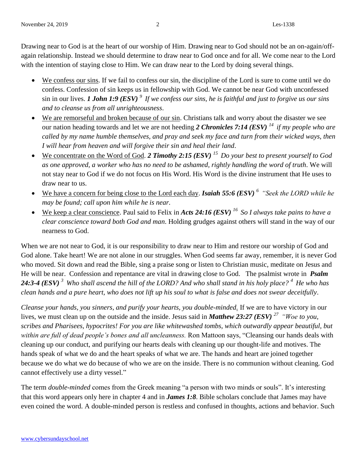Drawing near to God is at the heart of our worship of Him. Drawing near to God should not be an on-again/offagain relationship. Instead we should determine to draw near to God once and for all. We come near to the Lord with the intention of staying close to Him. We can draw near to the Lord by doing several things.

- We confess our sins. If we fail to confess our sin, the discipline of the Lord is sure to come until we do confess. Confession of sin keeps us in fellowship with God. We cannot be near God with unconfessed sin in our lives. *1 John 1:9 (ESV) <sup>9</sup>If we confess our sins, he is faithful and just to forgive us our sins and to cleanse us from all unrighteousness*.
- We are remorseful and broken because of our sin. Christians talk and worry about the disaster we see our nation heading towards and let we are not heeding *2 Chronicles 7:14 (ESV) <sup>14</sup>if my people who are called by my name humble themselves, and pray and seek my face and turn from their wicked ways, then I will hear from heaven and will forgive their sin and heal their land*.
- We concentrate on the Word of God. *2 Timothy 2:15 (ESV) <sup>15</sup>Do your best to present yourself to God as one approved, a worker who has no need to be ashamed, rightly handling the word of truth*. We will not stay near to God if we do not focus on His Word. His Word is the divine instrument that He uses to draw near to us.
- We have a concern for being close to the Lord each day. *Isaiah 55:6 (ESV) <sup>6</sup>"Seek the LORD while he may be found; call upon him while he is near.*
- We keep a clear conscience. Paul said to Felix in *Acts 24:16 (ESV) <sup>16</sup>So I always take pains to have a clear conscience toward both God and man*. Holding grudges against others will stand in the way of our nearness to God.

When we are not near to God, it is our responsibility to draw near to Him and restore our worship of God and God alone. Take heart! We are not alone in our struggles. When God seems far away, remember, it is never God who moved. Sit down and read the Bible, sing a praise song or listen to Christian music, meditate on Jesus and He will be near. Confession and repentance are vital in drawing close to God. The psalmist wrote in *Psalm 24:3-4 (ESV) <sup>3</sup>Who shall ascend the hill of the LORD? And who shall stand in his holy place? <sup>4</sup>He who has clean hands and a pure heart, who does not lift up his soul to what is false and does not swear deceitfully*.

*Cleanse your hands, you sinners, and purify your hearts, you double-minded.* If we are to have victory in our lives, we must clean up on the outside and the inside. Jesus said in *Matthew 23:27 (ESV) <sup>27</sup>"Woe to you, scribes and Pharisees, hypocrites! For you are like whitewashed tombs, which outwardly appear beautiful, but within are full of dead people's bones and all uncleanness.* Ron Mattoon says, "Cleansing our hands deals with cleaning up our conduct, and purifying our hearts deals with cleaning up our thought-life and motives. The hands speak of what we do and the heart speaks of what we are. The hands and heart are joined together because we do what we do because of who we are on the inside. There is no communion without cleaning. God cannot effectively use a dirty vessel."

The term *double-minded* comes from the Greek meaning "a person with two minds or souls". It's interesting that this word appears only here in chapter 4 and in *James 1:8*. Bible scholars conclude that James may have even coined the word. A double-minded person is restless and confused in thoughts, actions and behavior. Such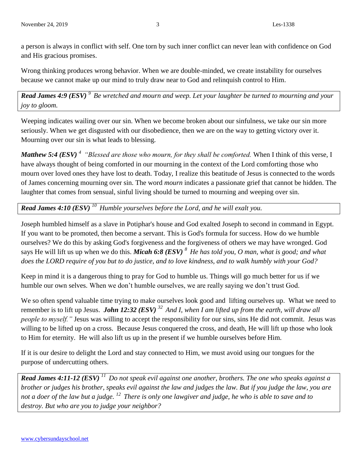a person is always in conflict with self. One torn by such inner conflict can never lean with confidence on God and His gracious promises.

Wrong thinking produces wrong behavior. When we are double-minded, we create instability for ourselves because we cannot make up our mind to truly draw near to God and relinquish control to Him.

*Read James 4:9 (ESV) <sup>9</sup>Be wretched and mourn and weep. Let your laughter be turned to mourning and your joy to gloom.*

Weeping indicates wailing over our sin. When we become broken about our sinfulness, we take our sin more seriously. When we get disgusted with our disobedience, then we are on the way to getting victory over it. Mourning over our sin is what leads to blessing.

*Matthew 5:4 (ESV) <sup>4</sup>"Blessed are those who mourn, for they shall be comforted.* When I think of this verse, I have always thought of being comforted in our mourning in the context of the Lord comforting those who mourn over loved ones they have lost to death. Today, I realize this beatitude of Jesus is connected to the words of James concerning mourning over sin. The word *mourn* indicates a passionate grief that cannot be hidden. The laughter that comes from sensual, sinful living should be turned to mourning and weeping over sin.

*Read James 4:10 (ESV) <sup>10</sup>Humble yourselves before the Lord, and he will exalt you.*

Joseph humbled himself as a slave in Potiphar's house and God exalted Joseph to second in command in Egypt. If you want to be promoted, then become a servant. This is God's formula for success. How do we humble ourselves? We do this by asking God's forgiveness and the forgiveness of others we may have wronged. God says He will lift us up when we do this. *Micah 6:8 (ESV) <sup>8</sup>He has told you, O man, what is good; and what does the LORD require of you but to do justice, and to love kindness, and to walk humbly with your God?*

Keep in mind it is a dangerous thing to pray for God to humble us. Things will go much better for us if we humble our own selves. When we don't humble ourselves, we are really saying we don't trust God.

We so often spend valuable time trying to make ourselves look good and lifting ourselves up. What we need to remember is to lift up Jesus. *John 12:32 (ESV) <sup>32</sup>And I, when I am lifted up from the earth, will draw all people to myself.*" Jesus was willing to accept the responsibility for our sins, sins He did not commit. Jesus was willing to be lifted up on a cross. Because Jesus conquered the cross, and death, He will lift up those who look to Him for eternity. He will also lift us up in the present if we humble ourselves before Him.

If it is our desire to delight the Lord and stay connected to Him, we must avoid using our tongues for the purpose of undercutting others.

*Read James 4:11-12 (ESV) <sup>11</sup>Do not speak evil against one another, brothers. The one who speaks against a brother or judges his brother, speaks evil against the law and judges the law. But if you judge the law, you are not a doer of the law but a judge. <sup>12</sup>There is only one lawgiver and judge, he who is able to save and to destroy. But who are you to judge your neighbor?*

www.cybersundayschool.net